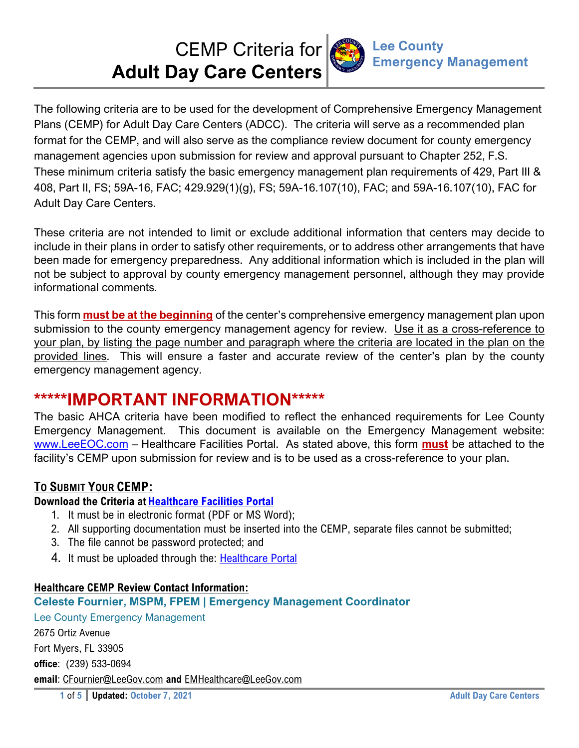CEMP Criteria for **Adult Day Care Centers**



The following criteria are to be used for the development of Comprehensive Emergency Management Plans (CEMP) for Adult Day Care Centers (ADCC). The criteria will serve as a recommended plan format for the CEMP, and will also serve as the compliance review document for county emergency management agencies upon submission for review and approval pursuant to Chapter 252, F.S. These minimum criteria satisfy the basic emergency management plan requirements of 429, Part III & 408, Part II, FS; 59A-16, FAC; 429.929(1)(g), FS; 59A-16.107(10), FAC; and 59A-16.107(10), FAC for Adult Day Care Centers.

These criteria are not intended to limit or exclude additional information that centers may decide to include in their plans in order to satisfy other requirements, or to address other arrangements that have been made for emergency preparedness. Any additional information which is included in the plan will not be subject to approval by county emergency management personnel, although they may provide informational comments.

This form **must be at the beginning** of the center's comprehensive emergency management plan upon submission to the county emergency management agency for review. Use it as a cross-reference to your plan, by listing the page number and paragraph where the criteria are located in the plan on the provided lines. This will ensure a faster and accurate review of the center's plan by the county emergency management agency.

# **\*\*\*\*\*IMPORTANT INFORMATION\*\*\*\*\***

The basic AHCA criteria have been modified to reflect the enhanced requirements for Lee County Emergency Management. This document is available on the Emergency Management website: www.LeeEOC.com – Healthcare Facilities Portal. As stated above, this form **must** be attached to the facility's CEMP upon submission for review and is to be used as a cross-reference to your plan.

## **TO SUBMIT YOUR CEMP:**

### **Download the Criteria at Healthcare Facilities Portal**

- 1. It must be in electronic format (PDF or MS Word);
- 2. All supporting documentation must be inserted into the CEMP, separate files cannot be submitted;
- 3. The file cannot be password protected; and
- 4. It must be uploaded through the: Healthcare Portal

### **Healthcare CEMP Review Contact Information:**

### **Celeste Fournier, MSPM, FPEM | Emergency Management Coordinator**

Lee County Emergency Management 2675 Ortiz Avenue Fort Myers, FL 33905 **office**: (239) 533-0694 **email**: CFournier@LeeGov.com **and** EMHealthcare@LeeGov.com

**1** of **5** Updated: October 7, 2021 **Adult Day Care Centers**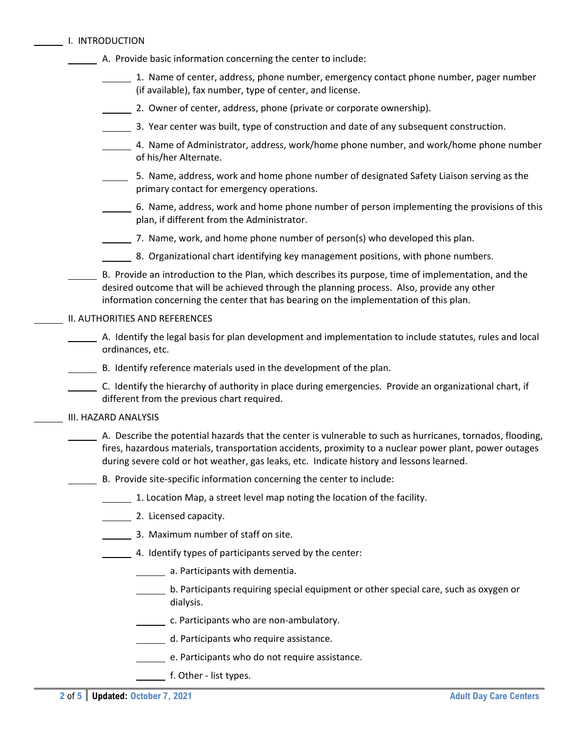|  | I. INTRODUCTION |
|--|-----------------|
|  |                 |

| A. Provide basic information concerning the center to include: |  |
|----------------------------------------------------------------|--|
|                                                                |  |

- $1.$  Name of center, address, phone number, emergency contact phone number, pager number (if available), fax number, type of center, and license.
- 2. Owner of center, address, phone (private or corporate ownership).
- 3. Year center was built, type of construction and date of any subsequent construction.
- 4. Name of Administrator, address, work/home phone number, and work/home phone number of his/her Alternate.
- 5. Name, address, work and home phone number of designated Safety Liaison serving as the primary contact for emergency operations.
- 6. Name, address, work and home phone number of person implementing the provisions of this plan, if different from the Administrator.
- $\frac{1}{2}$ . Name, work, and home phone number of person(s) who developed this plan.
- 8. Organizational chart identifying key management positions, with phone numbers.
- B. Provide an introduction to the Plan, which describes its purpose, time of implementation, and the desired outcome that will be achieved through the planning process. Also, provide any other information concerning the center that has bearing on the implementation of this plan.

#### II. AUTHORITIES AND REFERENCES

- A. Identify the legal basis for plan development and implementation to include statutes, rules and local ordinances, etc.
- B. Identify reference materials used in the development of the plan.
- C. Identify the hierarchy of authority in place during emergencies. Provide an organizational chart, if different from the previous chart required.

#### III. HAZARD ANALYSIS

- A. Describe the potential hazards that the center is vulnerable to such as hurricanes, tornados, flooding, fires, hazardous materials, transportation accidents, proximity to a nuclear power plant, power outages during severe cold or hot weather, gas leaks, etc. Indicate history and lessons learned.
- B. Provide site‐specific information concerning the center to include:
	- 1. Location Map, a street level map noting the location of the facility.
	- 2. Licensed capacity.
		- 3. Maximum number of staff on site.
	- 4. Identify types of participants served by the center:
		- **A.** Participants with dementia.
		- b. Participants requiring special equipment or other special care, such as oxygen or dialysis.
		- c. Participants who are non-ambulatory.
		- d. Participants who require assistance.
		- e. Participants who do not require assistance.
		- f. Other list types.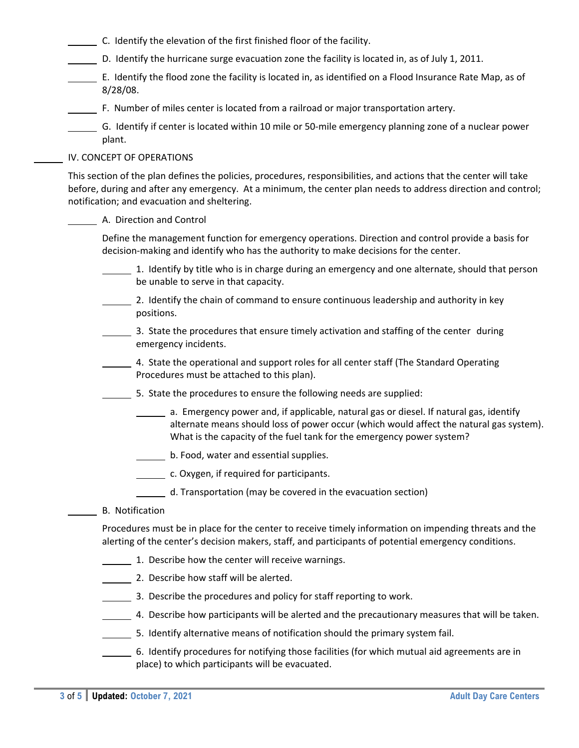- C. Identify the elevation of the first finished floor of the facility.
- D. Identify the hurricane surge evacuation zone the facility is located in, as of July 1, 2011.
- E. Identify the flood zone the facility is located in, as identified on a Flood Insurance Rate Map, as of 8/28/08.
- F. Number of miles center is located from a railroad or major transportation artery.
- G. Identify if center is located within 10 mile or 50‐mile emergency planning zone of a nuclear power plant.

#### IV. CONCEPT OF OPERATIONS

This section of the plan defines the policies, procedures, responsibilities, and actions that the center will take before, during and after any emergency. At a minimum, the center plan needs to address direction and control; notification; and evacuation and sheltering.

### A. Direction and Control

Define the management function for emergency operations. Direction and control provide a basis for decision‐making and identify who has the authority to make decisions for the center.

- 1. Identify by title who is in charge during an emergency and one alternate, should that person be unable to serve in that capacity.
- 2. Identify the chain of command to ensure continuous leadership and authority in key positions.
- 3. State the procedures that ensure timely activation and staffing of the center during emergency incidents.
- 4. State the operational and support roles for all center staff (The Standard Operating Procedures must be attached to this plan).
- 5. State the procedures to ensure the following needs are supplied:
	- a. Emergency power and, if applicable, natural gas or diesel. If natural gas, identify alternate means should loss of power occur (which would affect the natural gas system). What is the capacity of the fuel tank for the emergency power system?
	- b. Food, water and essential supplies.
	- **LETTER** c. Oxygen, if required for participants.
	- d. Transportation (may be covered in the evacuation section)
- B. Notification

Procedures must be in place for the center to receive timely information on impending threats and the alerting of the center's decision makers, staff, and participants of potential emergency conditions.

- 1. Describe how the center will receive warnings.
- 2. Describe how staff will be alerted.
- 3. Describe the procedures and policy for staff reporting to work.
- 4. Describe how participants will be alerted and the precautionary measures that will be taken.
- 5. Identify alternative means of notification should the primary system fail.
- 6. Identify procedures for notifying those facilities (for which mutual aid agreements are in place) to which participants will be evacuated.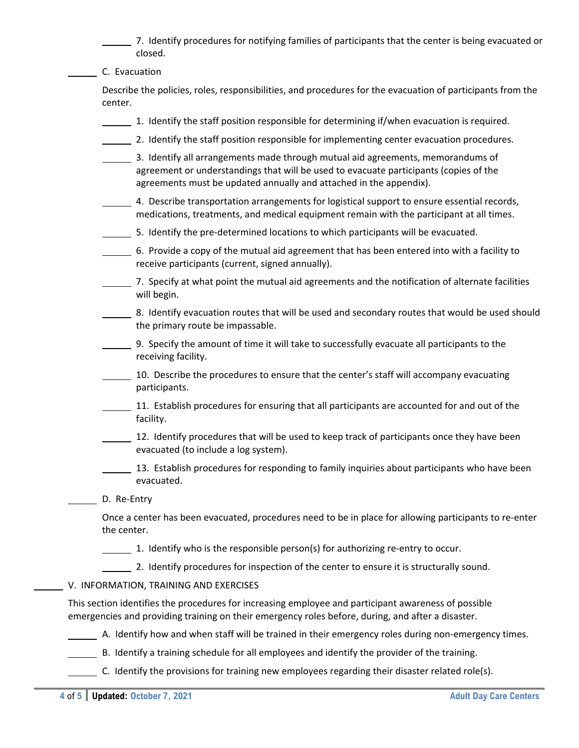7. Identify procedures for notifying families of participants that the center is being evacuated or closed.

C. Evacuation

Describe the policies, roles, responsibilities, and procedures for the evacuation of participants from the center.

- 1. Identify the staff position responsible for determining if/when evacuation is required.
- 2. Identify the staff position responsible for implementing center evacuation procedures.
- 3. Identify all arrangements made through mutual aid agreements, memorandums of agreement or understandings that will be used to evacuate participants (copies of the agreements must be updated annually and attached in the appendix).
- 4. Describe transportation arrangements for logistical support to ensure essential records, medications, treatments, and medical equipment remain with the participant at all times.
- 5. Identify the pre-determined locations to which participants will be evacuated.
- 6. Provide a copy of the mutual aid agreement that has been entered into with a facility to receive participants (current, signed annually).
- 7. Specify at what point the mutual aid agreements and the notification of alternate facilities will begin.
- 8. Identify evacuation routes that will be used and secondary routes that would be used should the primary route be impassable.
- 9. Specify the amount of time it will take to successfully evacuate all participants to the receiving facility.
- 10. Describe the procedures to ensure that the center's staff will accompany evacuating participants.
- 11. Establish procedures for ensuring that all participants are accounted for and out of the facility.
- 12. Identify procedures that will be used to keep track of participants once they have been evacuated (to include a log system).
- 13. Establish procedures for responding to family inquiries about participants who have been evacuated.
- D. Re-Entry

Once a center has been evacuated, procedures need to be in place for allowing participants to re‐enter the center.

1. Identify who is the responsible person(s) for authorizing re‐entry to occur.

2. Identify procedures for inspection of the center to ensure it is structurally sound.

V. INFORMATION, TRAINING AND EXERCISES

This section identifies the procedures for increasing employee and participant awareness of possible emergencies and providing training on their emergency roles before, during, and after a disaster.

A. Identify how and when staff will be trained in their emergency roles during non‐emergency times.

- B. Identify a training schedule for all employees and identify the provider of the training.
- C. Identify the provisions for training new employees regarding their disaster related role(s).